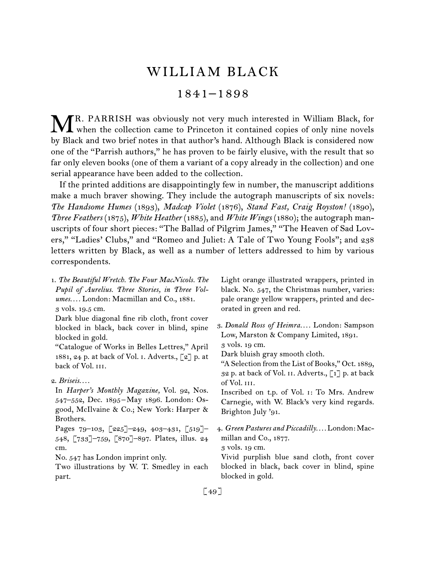## WILLIAM BLACK

## 1841–1898

R. PARRISH was obviously not very much interested in William Black, for MR. PARRISH was obviously not very much interested in William Black, for when the collection came to Princeton it contained copies of only nine novels by Black and two brief notes in that author's hand. Although Black is considered now one of the "Parrish authors," he has proven to be fairly elusive, with the result that so far only eleven books (one of them a variant of a copy already in the collection) and one serial appearance have been added to the collection.

If the printed additions are disappointingly few in number, the manuscript additions make a much braver showing. They include the autograph manuscripts of six novels: *The Handsome Humes* (1893), *Madcap Violet* (1876), *Stand Fast, Craig Royston!* (1890), *Three Feathers* (1875), *White Heather* (1885), and *White Wings* (1880); the autograph manuscripts of four short pieces: "The Ballad of Pilgrim James," "The Heaven of Sad Lovers," "Ladies' Clubs," and "Romeo and Juliet: A Tale of Two Young Fools"; and 238 letters written by Black, as well as a number of letters addressed to him by various correspondents.

1.  *The Beautiful Wretch. The Four MacNicols. The Pupil of Aurelius. Three Stories, in Three Volumes. . . .* London: Macmillan and Co., 1881. 3 vols. 19.5 cm. Dark blue diagonal fine rib cloth, front cover blocked in black, back cover in blind, spine blocked in gold. "Catalogue of Works in Belles Lettres," April 1881, 24 p. at back of Vol. i. Adverts., [2] p. at back of Vol. III. 2.  *Briseis. . . .* In *Harper's Monthly Magazine,* Vol. 92, Nos. 547–552, Dec. 1895 – May 1896. London: Osgood, McIlvaine & Co.; New York: Harper & Brothers. Pages 79–103, [225]–249, 403–431, [519]– 548, [733]–759, [870]–897. Plates, illus. 24 cm. No. 547 has London imprint only. Two illustrations by W. T. Smedley in each part. Light orange illustrated wrappers, printed in black. No. 547, the Christmas number, varies: pale orange yellow wrappers, printed and decorated in green and red. 3.  *Donald Ross of Heimra. . . .* London: Sampson Low, Marston & Company Limited, 1891. 3 vols. 19 cm. Dark bluish gray smooth cloth. "A Selection from the List of Books," Oct. 1889, 32 p. at back of Vol. ii. Adverts., [1] p. at back of Vol. iii. Inscribed on t.p. of Vol. i: To Mrs. Andrew Carnegie, with W. Black's very kind regards. Brighton July '91. 4.  *Green Pastures and Piccadilly. . . .* London: Macmillan and Co., 1877. 3 vols. 19 cm. Vivid purplish blue sand cloth, front cover blocked in black, back cover in blind, spine blocked in gold.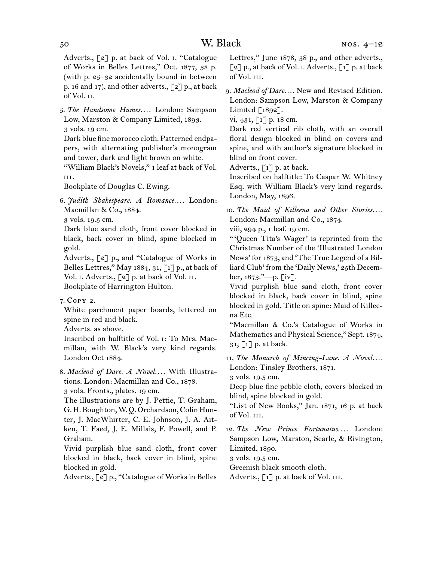## 50 W. Black

Adverts., [2] p. at back of Vol. i. "Catalogue of Works in Belles Lettres," Oct. 1877, 38 p. (with p. 25–32 accidentally bound in between p. 16 and 17), and other adverts.,  $\lceil 2 \rceil$  p., at back of Vol. ii.

5.  *The Handsome Humes. . . .* London: Sampson Low, Marston & Company Limited, 1893. 3 vols. 19 cm.

Dark blue fine morocco cloth. Patterned endpapers, with alternating publisher's monogram and tower, dark and light brown on white.

"William Black's Novels," 1 leaf at back of Vol. iii.

Bookplate of Douglas C. Ewing.

6.  *Judith Shakespeare. A Romance. . . .* London: Macmillan & Co., 1884.

3 vols. 19.5 cm.

Dark blue sand cloth, front cover blocked in black, back cover in blind, spine blocked in gold.

Adverts., [2] p., and "Catalogue of Works in Belles Lettres," May 1884, 31, [1] p., at back of Vol. I. Adverts., [2] p. at back of Vol. II. Bookplate of Harrington Hulton.

7.  Copy 2.

White parchment paper boards, lettered on spine in red and black.

Adverts. as above.

Inscribed on halftitle of Vol. i: To Mrs. Macmillan, with W. Black's very kind regards. London Oct 1884.

8.  *Macleod of Dare. A Novel. . . .* With Illustrations. London: Macmillan and Co., 1878. 3 vols. Fronts., plates. 19 cm.

The illustrations are by J. Pettie, T. Graham, G. H. Boughton,W. Q. Orchardson,Colin Hunter, J. MacWhirter, C. E. Johnson, J. A. Aitken, T. Faed, J. E. Millais, F. Powell, and P. Graham.

Vivid purplish blue sand cloth, front cover blocked in black, back cover in blind, spine blocked in gold.

Adverts., [2] p., "Catalogue of Works in Belles

Lettres," June 1878, 38 p., and other adverts.,  $\lceil 2 \rceil$  p., at back of Vol. I. Adverts.,  $\lceil 1 \rceil$  p. at back of Vol. iii.

9.  *Macleod of Dare. . . .* New and Revised Edition. London: Sampson Low, Marston & Company Limited [1892].

vi, 431,  $\lceil 1 \rceil$  p. 18 cm.

Dark red vertical rib cloth, with an overall floral design blocked in blind on covers and spine, and with author's signature blocked in blind on front cover.

Adverts., [1] p. at back.

Inscribed on halftitle: To Caspar W. Whitney Esq. with William Black's very kind regards. London, May, 1896.

10. The Maid of Killeena and Other Stories.... London: Macmillan and Co., 1874.

viii, 294 p., 1 leaf. 19 cm.

" 'Queen Tita's Wager' is reprinted from the Christmas Number of the 'Illustrated London News' for 1873, and 'The True Legend of a Billiard Club' from the 'Daily News,' 25th December, 1873."—p. [iv].

Vivid purplish blue sand cloth, front cover blocked in black, back cover in blind, spine blocked in gold. Title on spine: Maid of Killeena Etc.

"Macmillan & Co.'s Catalogue of Works in Mathematics and Physical Science," Sept. 1874,  $31, 1$ ] p. at back.

11.  *The Monarch of Mincing-Lane. A Novel. . . .* London: Tinsley Brothers, 1871.

3 vols. 19.5 cm.

Deep blue fine pebble cloth, covers blocked in blind, spine blocked in gold.

"List of New Books," Jan. 1871, 16 p. at back of Vol. iii.

12.  *The New Prince Fortunatus. . . .* London: Sampson Low, Marston, Searle, & Rivington, Limited, 1890.

3 vols. 19.5 cm.

Greenish black smooth cloth.

Adverts., [1] p. at back of Vol. III.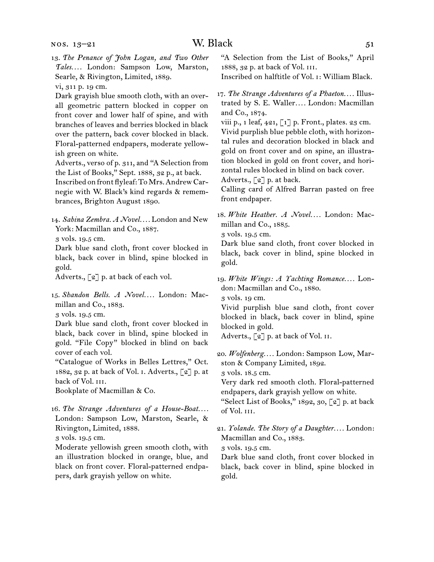vi, 311 p. 19 cm.

Dark grayish blue smooth cloth, with an overall geometric pattern blocked in copper on front cover and lower half of spine, and with branches of leaves and berries blocked in black over the pattern, back cover blocked in black. Floral-patterned endpapers, moderate yellowish green on white.

Adverts., verso of p. 311, and "A Selection from the List of Books," Sept. 1888, 32 p., at back. Inscribed on front flyleaf: ToMrs.Andrew Carnegie with W. Black's kind regards & remembrances, Brighton August 1890.

14.  *Sabina Zembra. A Novel. . . .* London and New York: Macmillan and Co., 1887.

3 vols. 19.5 cm.

Dark blue sand cloth, front cover blocked in black, back cover in blind, spine blocked in gold.

Adverts., [2] p. at back of each vol.

15.  *Shandon Bells. A Novel. . . .* London: Macmillan and Co., 1883.

3 vols. 19.5 cm.

Dark blue sand cloth, front cover blocked in black, back cover in blind, spine blocked in gold. "File Copy" blocked in blind on back cover of each vol.

"Catalogue of Works in Belles Lettres," Oct. 1882, 32 p. at back of Vol. i. Adverts., [2] p. at back of Vol. III.

Bookplate of Macmillan & Co.

16.  *The Strange Adventures of a House-Boat. . . .* London: Sampson Low, Marston, Searle, & Rivington, Limited, 1888.

3 vols. 19.5 cm.

Moderate yellowish green smooth cloth, with an illustration blocked in orange, blue, and black on front cover. Floral-patterned endpapers, dark grayish yellow on white.

"A Selection from the List of Books," April 1888, 32 p. at back of Vol. iii.

Inscribed on halftitle of Vol. i: William Black.

viii p., 1 leaf,  $421$ ,  $\lceil 1 \rceil$  p. Front., plates. 23 cm. Vivid purplish blue pebble cloth, with horizontal rules and decoration blocked in black and gold on front cover and on spine, an illustration blocked in gold on front cover, and horizontal rules blocked in blind on back cover.

Adverts., [2] p. at back.

Calling card of Alfred Barran pasted on free front endpaper.

18.  *White Heather. A Novel. . . .* London: Macmillan and Co., 1885.

3 vols. 19.5 cm.

Dark blue sand cloth, front cover blocked in black, back cover in blind, spine blocked in gold.

19.  *White Wings: A Yachting Romance. . . .* London: Macmillan and Co., 1880.

3 vols. 19 cm.

Vivid purplish blue sand cloth, front cover blocked in black, back cover in blind, spine blocked in gold.

Adverts.,  $\lceil 2 \rceil$  p. at back of Vol. II.

20.  *Wolfenberg. . . .* London: Sampson Low, Marston & Company Limited, 1892.

3 vols. 18.5 cm.

Very dark red smooth cloth. Floral-patterned endpapers, dark grayish yellow on white.

"Select List of Books," 1892, 30, [2] p. at back of Vol. iii.

21.  *Yolande. The Story of a Daughter. . . .* London: Macmillan and Co., 1883.

3 vols. 19.5 cm.

Dark blue sand cloth, front cover blocked in black, back cover in blind, spine blocked in gold.

<sup>17.</sup>*The Strange Adventures of a Phaeton. . . .* Illustrated by S. E. Waller*. . . .* London: Macmillan and Co., 1874.